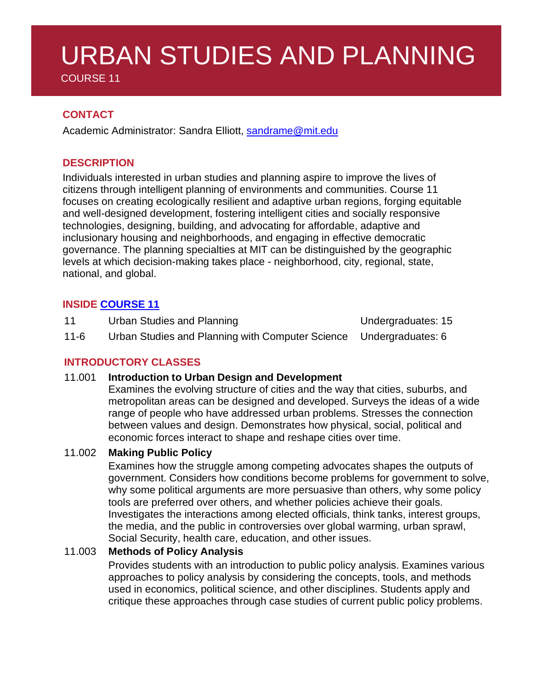# URBAN STUDIES AND PLANNING

COURSE 11

# **CONTACT**

Academic Administrator: Sandra Elliott, [sandrame@mit.edu](mailto:sandrame@mit.edu)

# **DESCRIPTION**

Individuals interested in urban studies and planning aspire to improve the lives of citizens through intelligent planning of environments and communities. Course 11 focuses on creating ecologically resilient and adaptive urban regions, forging equitable and well-designed development, fostering intelligent cities and socially responsive technologies, designing, building, and advocating for affordable, adaptive and inclusionary housing and neighborhoods, and engaging in effective democratic governance. The planning specialties at MIT can be distinguished by the geographic levels at which decision-making takes place - neighborhood, city, regional, state, national, and global.

# **INSIDE [COURSE](https://dusp.mit.edu/degrees/undergraduate) 11**

11 Urban Studies and Planning **East Control** Undergraduates: 15

11-6 Urban Studies and Planning with Computer Science Undergraduates: 6

# **INTRODUCTORY CLASSES**

# 11.001 **Introduction to Urban Design and Development**

Examines the evolving structure of cities and the way that cities, suburbs, and metropolitan areas can be designed and developed. Surveys the ideas of a wide range of people who have addressed urban problems. Stresses the connection between values and design. Demonstrates how physical, social, political and economic forces interact to shape and reshape cities over time.

# 11.002 **Making Public Policy**

Examines how the struggle among competing advocates shapes the outputs of government. Considers how conditions become problems for government to solve, why some political arguments are more persuasive than others, why some policy tools are preferred over others, and whether policies achieve their goals. Investigates the interactions among elected officials, think tanks, interest groups, the media, and the public in controversies over global warming, urban sprawl, Social Security, health care, education, and other issues.

# 11.003 **Methods of Policy Analysis**

Provides students with an introduction to public policy analysis. Examines various approaches to policy analysis by considering the concepts, tools, and methods used in economics, political science, and other disciplines. Students apply and critique these approaches through case studies of current public policy problems.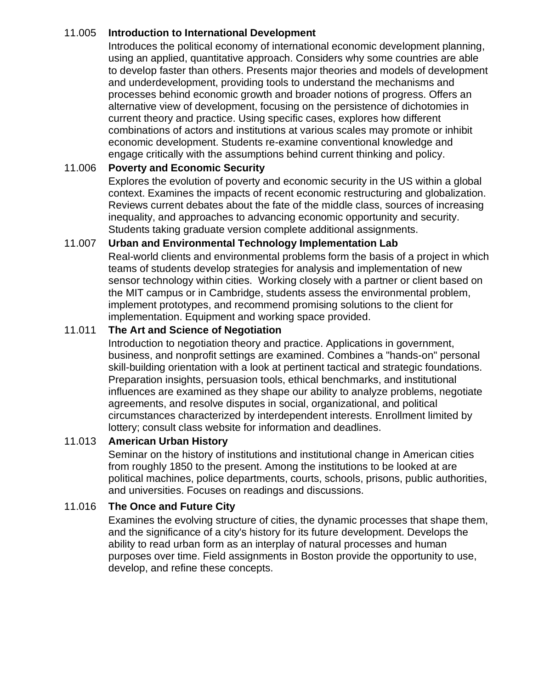# 11.005 **Introduction to International Development**

Introduces the political economy of international economic development planning, using an applied, quantitative approach. Considers why some countries are able to develop faster than others. Presents major theories and models of development and underdevelopment, providing tools to understand the mechanisms and processes behind economic growth and broader notions of progress. Offers an alternative view of development, focusing on the persistence of dichotomies in current theory and practice. Using specific cases, explores how different combinations of actors and institutions at various scales may promote or inhibit economic development. Students re-examine conventional knowledge and engage critically with the assumptions behind current thinking and policy.

# 11.006 **Poverty and Economic Security**

Explores the evolution of poverty and economic security in the US within a global context. Examines the impacts of recent economic restructuring and globalization. Reviews current debates about the fate of the middle class, sources of increasing inequality, and approaches to advancing economic opportunity and security. Students taking graduate version complete additional assignments.

# 11.007 **Urban and Environmental Technology Implementation Lab**

Real-world clients and environmental problems form the basis of a project in which teams of students develop strategies for analysis and implementation of new sensor technology within cities. Working closely with a partner or client based on the MIT campus or in Cambridge, students assess the environmental problem, implement prototypes, and recommend promising solutions to the client for implementation. Equipment and working space provided.

#### 11.011 **The Art and Science of Negotiation**

Introduction to negotiation theory and practice. Applications in government, business, and nonprofit settings are examined. Combines a "hands-on" personal skill-building orientation with a look at pertinent tactical and strategic foundations. Preparation insights, persuasion tools, ethical benchmarks, and institutional influences are examined as they shape our ability to analyze problems, negotiate agreements, and resolve disputes in social, organizational, and political circumstances characterized by interdependent interests. Enrollment limited by lottery; consult class website for information and deadlines.

#### 11.013 **American Urban History**

Seminar on the history of institutions and institutional change in American cities from roughly 1850 to the present. Among the institutions to be looked at are political machines, police departments, courts, schools, prisons, public authorities, and universities. Focuses on readings and discussions.

#### 11.016 **The Once and Future City**

Examines the evolving structure of cities, the dynamic processes that shape them, and the significance of a city's history for its future development. Develops the ability to read urban form as an interplay of natural processes and human purposes over time. Field assignments in Boston provide the opportunity to use, develop, and refine these concepts.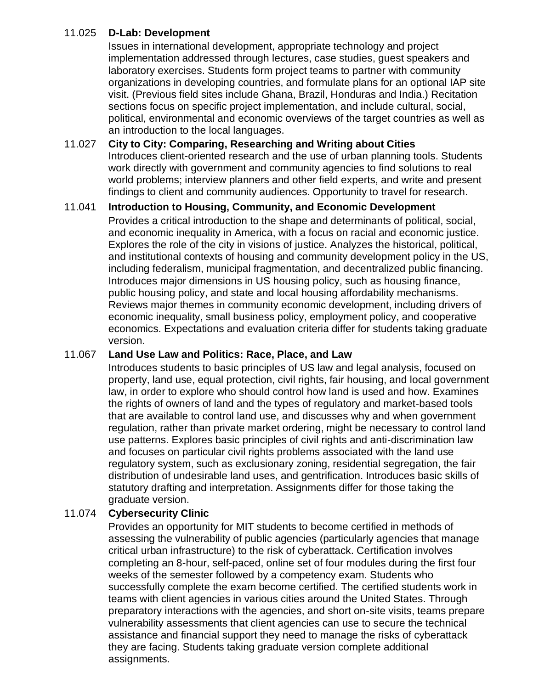# 11.025 **D-Lab: Development**

Issues in international development, appropriate technology and project implementation addressed through lectures, case studies, guest speakers and laboratory exercises. Students form project teams to partner with community organizations in developing countries, and formulate plans for an optional IAP site visit. (Previous field sites include Ghana, Brazil, Honduras and India.) Recitation sections focus on specific project implementation, and include cultural, social, political, environmental and economic overviews of the target countries as well as an introduction to the local languages.

### 11.027 **City to City: Comparing, Researching and Writing about Cities** Introduces client-oriented research and the use of urban planning tools. Students work directly with government and community agencies to find solutions to real world problems; interview planners and other field experts, and write and present findings to client and community audiences. Opportunity to travel for research.

# 11.041 **Introduction to Housing, Community, and Economic Development**

Provides a critical introduction to the shape and determinants of political, social, and economic inequality in America, with a focus on racial and economic justice. Explores the role of the city in visions of justice. Analyzes the historical, political, and institutional contexts of housing and community development policy in the US, including federalism, municipal fragmentation, and decentralized public financing. Introduces major dimensions in US housing policy, such as housing finance, public housing policy, and state and local housing affordability mechanisms. Reviews major themes in community economic development, including drivers of economic inequality, small business policy, employment policy, and cooperative economics. Expectations and evaluation criteria differ for students taking graduate version.

#### 11.067 **Land Use Law and Politics: Race, Place, and Law**

Introduces students to basic principles of US law and legal analysis, focused on property, land use, equal protection, civil rights, fair housing, and local government law, in order to explore who should control how land is used and how. Examines the rights of owners of land and the types of regulatory and market-based tools that are available to control land use, and discusses why and when government regulation, rather than private market ordering, might be necessary to control land use patterns. Explores basic principles of civil rights and anti-discrimination law and focuses on particular civil rights problems associated with the land use regulatory system, such as exclusionary zoning, residential segregation, the fair distribution of undesirable land uses, and gentrification. Introduces basic skills of statutory drafting and interpretation. Assignments differ for those taking the graduate version.

# 11.074 **Cybersecurity Clinic**

Provides an opportunity for MIT students to become certified in methods of assessing the vulnerability of public agencies (particularly agencies that manage critical urban infrastructure) to the risk of cyberattack. Certification involves completing an 8-hour, self-paced, online set of four modules during the first four weeks of the semester followed by a competency exam. Students who successfully complete the exam become certified. The certified students work in teams with client agencies in various cities around the United States. Through preparatory interactions with the agencies, and short on-site visits, teams prepare vulnerability assessments that client agencies can use to secure the technical assistance and financial support they need to manage the risks of cyberattack they are facing. Students taking graduate version complete additional assignments.